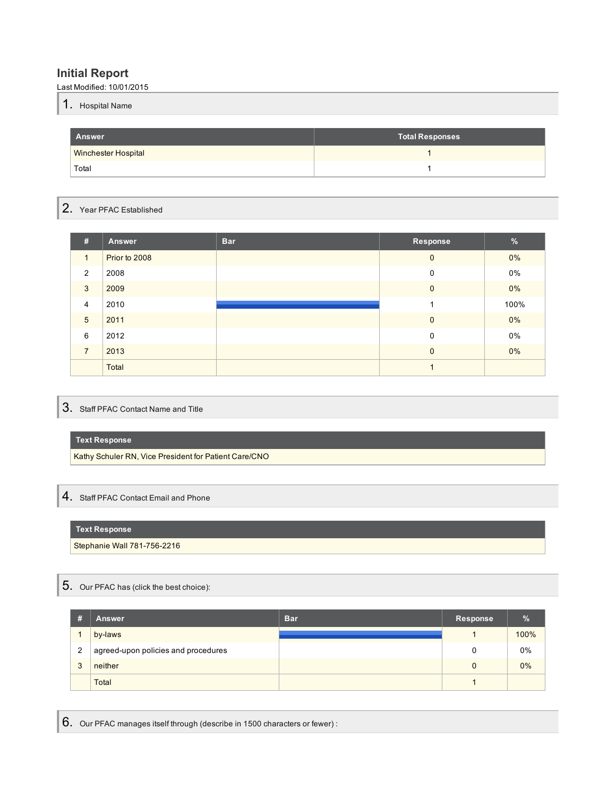## **Initial Report**

Last Modified: 10/01/2015

| л | <b>I.</b> Hospital Name |  |
|---|-------------------------|--|
|   |                         |  |
|   |                         |  |

| <b>Answer</b>              | <b>Total Responses</b> |
|----------------------------|------------------------|
| <b>Winchester Hospital</b> |                        |
| Total                      |                        |

## 2. Year PFAC Established

| #               | Answer        | <b>Bar</b> | Response     | $\frac{9}{6}$ |
|-----------------|---------------|------------|--------------|---------------|
| $\mathbf{1}$    | Prior to 2008 |            | $\mathbf{0}$ | $0\%$         |
| 2               | 2008          |            | 0            | 0%            |
| 3               | 2009          |            | $\mathbf 0$  | $0\%$         |
| $\overline{4}$  | 2010          |            |              | 100%          |
| $5\phantom{.0}$ | 2011          |            | $\mathbf 0$  | $0\%$         |
| 6               | 2012          |            | $\mathbf 0$  | 0%            |
| $\overline{7}$  | 2013          |            | $\mathbf{0}$ | $0\%$         |
|                 | Total         |            |              |               |

## 3. Staff PFAC Contact Name and Title

## **Text Response**

Kathy Schuler RN, Vice President for Patient Care/CNO

# 4. Staff PFAC Contact Email and Phone

## **Text Response**

Stephanie Wall 781-756-2216

# 5. Our PFAC has (click the best choice):

| #            | <b>Answer</b>                       | <b>Bar</b> | <b>Response</b> | %    |
|--------------|-------------------------------------|------------|-----------------|------|
|              | by-laws                             |            |                 | 100% |
| 2            | agreed-upon policies and procedures |            |                 | 0%   |
| $\mathbf{a}$ | neither                             |            | 0               | 0%   |
|              | Total                               |            |                 |      |

6. Our PFAC manages itself through (describe in 1500 characters or fewer) :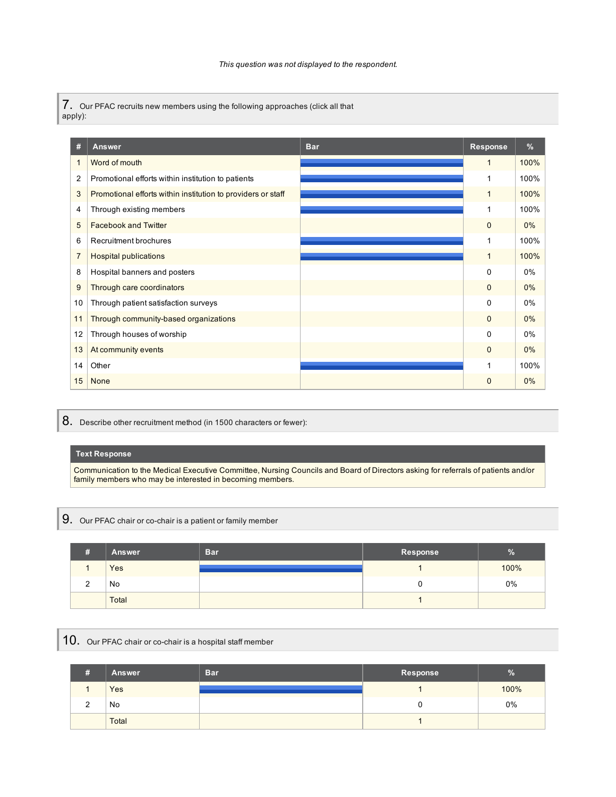7. Our PFAC recruits new members using the following approaches (click all that apply):

| #                        | <b>Answer</b>                                                | <b>Bar</b> | <b>Response</b> | %     |
|--------------------------|--------------------------------------------------------------|------------|-----------------|-------|
| $\overline{\phantom{a}}$ | Word of mouth                                                |            | $\mathbf{1}$    | 100%  |
| 2                        | Promotional efforts within institution to patients           |            | 1               | 100%  |
| 3                        | Promotional efforts within institution to providers or staff |            | $\mathbf{1}$    | 100%  |
| 4                        | Through existing members                                     |            |                 | 100%  |
| 5                        | <b>Facebook and Twitter</b>                                  |            | $\mathbf 0$     | 0%    |
| 6                        | Recruitment brochures                                        |            | 1               | 100%  |
| $\overline{7}$           | <b>Hospital publications</b>                                 |            | 1               | 100%  |
| 8                        | Hospital banners and posters                                 |            | $\Omega$        | $0\%$ |
| 9                        | Through care coordinators                                    |            | $\Omega$        | $0\%$ |
| 10                       | Through patient satisfaction surveys                         |            | $\Omega$        | 0%    |
| 11                       | Through community-based organizations                        |            | $\mathbf{0}$    | $0\%$ |
| 12                       | Through houses of worship                                    |            | 0               | $0\%$ |
| 13                       | At community events                                          |            | $\mathbf{0}$    | $0\%$ |
| 14                       | Other                                                        |            |                 | 100%  |
| 15                       | None                                                         |            | $\mathbf 0$     | $0\%$ |

8. Describe other recruitment method (in 1500 characters or fewer):

### **Text Response**

Communication to the Medical Executive Committee, Nursing Councils and Board of Directors asking for referrals of patients and/or family members who may be interested in becoming members.

9. Our PFAC chair or co-chair is <sup>a</sup> patient or family member

| # | <b>Answer</b> | <b>Bar</b> | Response | $\overline{0}$<br>70 |
|---|---------------|------------|----------|----------------------|
|   | Yes           |            |          | 100%                 |
| _ | No            |            |          | 0%                   |
|   | Total         |            |          |                      |

10. Our PFAC chair or co-chair is a hospital staff member

| # | Answer | <b>Bar</b> | Response | $\%$ |
|---|--------|------------|----------|------|
|   | Yes    |            |          | 100% |
|   | No     |            |          | 0%   |
|   | Total  |            |          |      |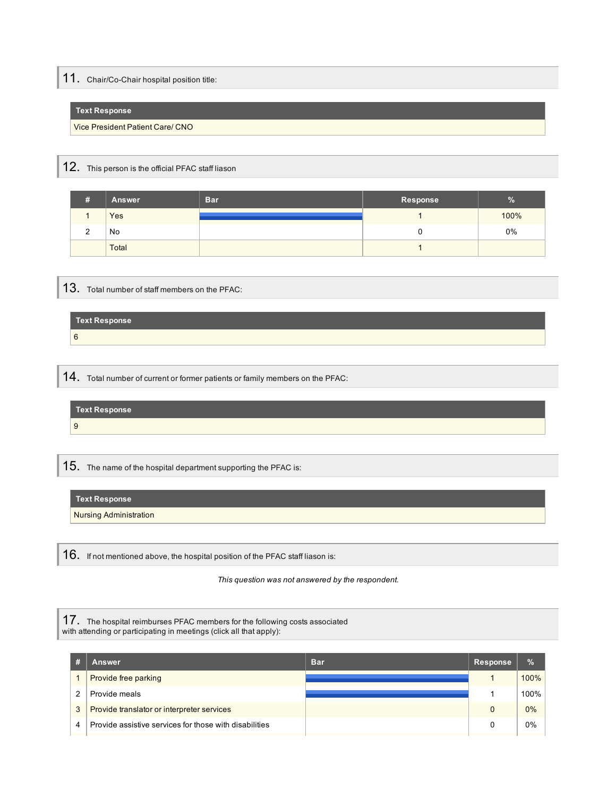# 11. Chair/Co-Chair hospital position title:

### **Text Response**

Vice President Patient Care/ CNO

# 12. This person is the official PFAC staff liason

| #          | <b>Answer</b> | <b>Bar</b> | Response | $\mathbf{a}$<br>70 |
|------------|---------------|------------|----------|--------------------|
|            | Yes           |            |          | 100%               |
| $\sqrt{2}$ | No            |            |          | 0%                 |
|            | Total         |            |          |                    |

## 13. Total number of staff members on the PFAC:

| <b>Text Response</b> |  |
|----------------------|--|
| 6                    |  |

14. Total number of current or former patients or family members on the PFAC:

| Text Response |  |
|---------------|--|
|               |  |
|               |  |

 $15.$  The name of the hospital department supporting the PFAC is:

Nursing Administration

16. If not mentioned above, the hospital position of the PFAC staff liason is:

*This question was not answered by the respondent.*

17. The hospital reimburses PFAC members for the following costs associated with attending or participating in meetings (click all that apply):

|   | Answer                                                 | <b>Bar</b> | <b>Response</b> | $\%$ |
|---|--------------------------------------------------------|------------|-----------------|------|
|   | <b>Provide free parking</b>                            |            |                 | 100% |
| 2 | Provide meals                                          |            |                 | 100% |
| 3 | Provide translator or interpreter services             |            |                 | 0%   |
| 4 | Provide assistive services for those with disabilities |            |                 | 0%   |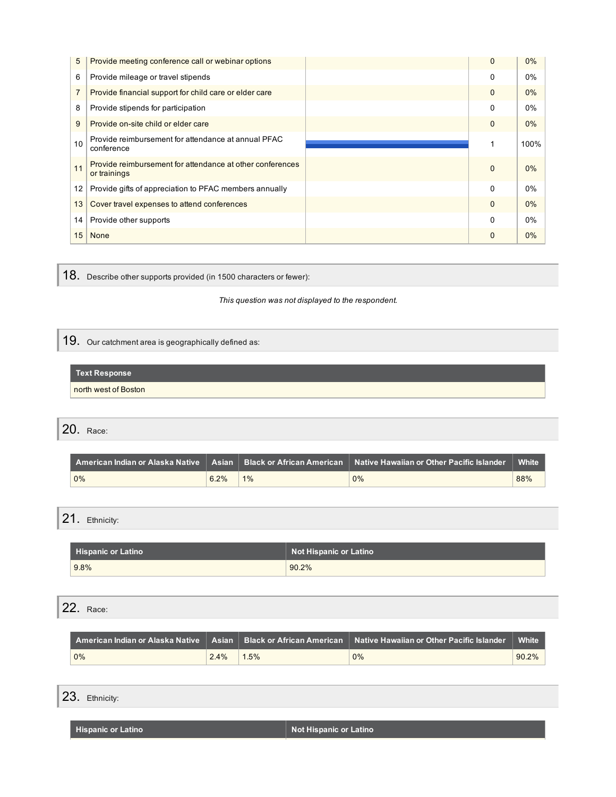| 5              | Provide meeting conference call or webinar options                        | $\Omega$ | 0%    |
|----------------|---------------------------------------------------------------------------|----------|-------|
| 6              | Provide mileage or travel stipends                                        | 0        | $0\%$ |
| $\overline{7}$ | Provide financial support for child care or elder care                    | $\Omega$ | 0%    |
| 8              | Provide stipends for participation                                        | 0        | 0%    |
| 9              | Provide on-site child or elder care                                       | $\Omega$ | $0\%$ |
| 10             | Provide reimbursement for attendance at annual PFAC<br>conference         |          | 100%  |
| 11             | Provide reimbursement for attendance at other conferences<br>or trainings | $\Omega$ | 0%    |
| 12             | Provide gifts of appreciation to PFAC members annually                    | $\Omega$ | 0%    |
| 13             | Cover travel expenses to attend conferences                               | $\Omega$ | 0%    |
| 14             | Provide other supports                                                    | $\Omega$ | 0%    |
| 15             | <b>None</b>                                                               | $\Omega$ | $0\%$ |

18. Describe other supports provided (in <sup>1500</sup> characters or fewer):

*This question was not displayed to the respondent.*

19. Our catchment area is geographically defined as:

### **Text Response**

north west of Boston

20. Race:

|    |      |       | $\mid$ American Indian or Alaska Native $\mid\mid$ Asian $\mid\mid$ Black or African American $\mid\mid$ Native Hawaiian or Other Pacific Islander $\mid$ | White |  |
|----|------|-------|-----------------------------------------------------------------------------------------------------------------------------------------------------------|-------|--|
| 0% | 6.2% | $1\%$ | 0%                                                                                                                                                        | 88%   |  |

21. Ethnicity:

| Hispanic or Latino | <b>Not Hispanic or Latino</b> |
|--------------------|-------------------------------|
| 9.8%               | 90.2%                         |

22. Race:

|       |      |      | $\,$ American Indian or Alaska Native $\, \mid\,$ Asian $\, \mid\,$ Black or African American $\, \mid\,$ Native Hawaiian or Other Pacific Islander $\, \mid\,$ White |       |
|-------|------|------|-----------------------------------------------------------------------------------------------------------------------------------------------------------------------|-------|
| $0\%$ | 2.4% | 1.5% | $0\%$                                                                                                                                                                 | 90.2% |

23. Ethnicity:

**Hispanic or Latino Notified Alternative Community Community Community Properties Alternative Community Properties Alternative Community Properties Alternative Community Properties Alternative Community Properties Altern**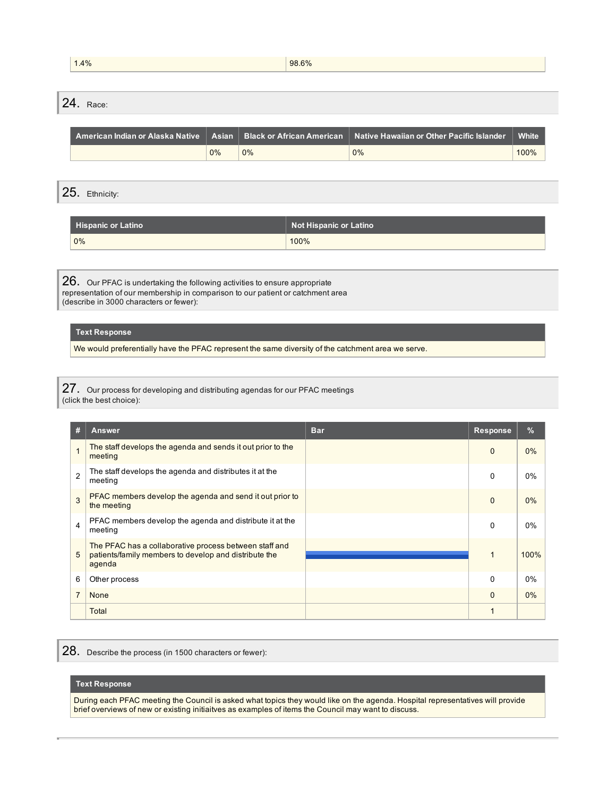| 1.4% | 98.6% |
|------|-------|
|      |       |

24. Race:

|    |       | $\,$ American Indian or Alaska Native $\, \mid\,$ Asian $\, \mid\,$ Black or African American $\, \mid\,$ Native Hawaiian or Other Pacific Islander $\, \mid\,$ | <b>White</b> |
|----|-------|-----------------------------------------------------------------------------------------------------------------------------------------------------------------|--------------|
| 0% | $0\%$ | 0%                                                                                                                                                              | 100%         |

25. Ethnicity:

| Hispanic or Latino | Not Hispanic or Latino |
|--------------------|------------------------|
| 0%                 | 100%                   |

26. Our PFAC is undertaking the following activities to ensure appropriate representation of our membership in comparison to our patient or catchment area (describe in 3000 characters or fewer):

### **Text Response**

We would preferentially have the PFAC represent the same diversity of the catchment area we serve.

27. Our process for developing and distributing agendas for our PFAC meetings (click the best choice):

| #              | <b>Answer</b>                                                                                                             | <b>Bar</b> | Response     | $\%$  |
|----------------|---------------------------------------------------------------------------------------------------------------------------|------------|--------------|-------|
|                | The staff develops the agenda and sends it out prior to the<br>meeting                                                    |            | $\mathbf{0}$ | $0\%$ |
| $\overline{2}$ | The staff develops the agenda and distributes it at the<br>meeting                                                        |            | $\mathbf{0}$ | 0%    |
| 3              | PFAC members develop the agenda and send it out prior to<br>the meeting                                                   |            | $\mathbf{0}$ | $0\%$ |
| $\overline{4}$ | PFAC members develop the agenda and distribute it at the<br>meeting                                                       |            | $\mathbf{0}$ | $0\%$ |
| 5              | The PFAC has a collaborative process between staff and<br>patients/family members to develop and distribute the<br>agenda |            | $\mathbf 1$  | 100%  |
| 6              | Other process                                                                                                             |            | $\Omega$     | 0%    |
| $\overline{7}$ | <b>None</b>                                                                                                               |            | $\mathbf{0}$ | $0\%$ |
|                | Total                                                                                                                     |            | 1            |       |

<sup>28.</sup> Describe the process (in <sup>1500</sup> characters or fewer):

### **Text Response**

During each PFAC meeting the Council is asked what topics they would like on the agenda. Hospital representatives will provide brief overviews of new or existing initiaitves as examples of items the Council may want to discuss.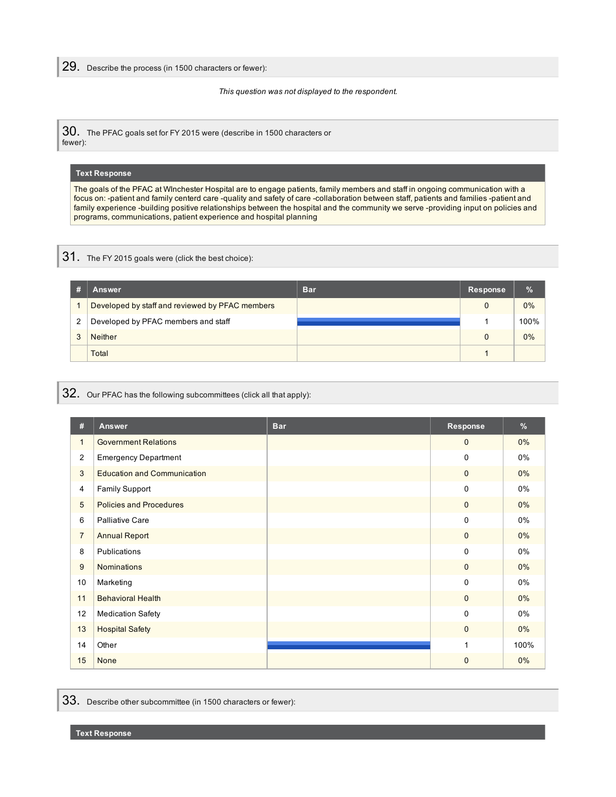29. Describe the process (in <sup>1500</sup> characters or fewer):

*This question was not displayed to the respondent.*

30. The PFAC goals set for FY 2015 were (describe in 1500 characters or fewer):

### **Text Response**

The goals of the PFAC at WInchester Hospital are to engage patients, family members and staff in ongoing communication with a focus on: -patient and family centerd care -quality and safety of care -collaboration between staff, patients and families -patient and family experience -building positive relationships between the hospital and the community we serve -providing input on policies and programs, communications, patient experience and hospital planning

## 31. The FY <sup>2015</sup> goals were (click the best choice):

|   | Answer                                          | <b>Bar</b> | Response | $\%$  |
|---|-------------------------------------------------|------------|----------|-------|
|   | Developed by staff and reviewed by PFAC members |            |          | $0\%$ |
| 2 | Developed by PFAC members and staff             |            |          | 100%  |
| 3 | <b>Neither</b>                                  |            |          | $0\%$ |
|   | Total                                           |            |          |       |

# 32. Our PFAC has the following subcommittees (click all that apply):

| #              | Answer                             | <b>Bar</b> | Response     | %     |
|----------------|------------------------------------|------------|--------------|-------|
| $\mathbf{1}$   | <b>Government Relations</b>        |            | $\mathbf{0}$ | $0\%$ |
| $\overline{2}$ | <b>Emergency Department</b>        |            | $\mathbf 0$  | 0%    |
| 3              | <b>Education and Communication</b> |            | $\mathbf{0}$ | $0\%$ |
| 4              | <b>Family Support</b>              |            | $\mathbf 0$  | 0%    |
| 5              | <b>Policies and Procedures</b>     |            | $\mathbf 0$  | $0\%$ |
| 6              | <b>Palliative Care</b>             |            | $\Omega$     | 0%    |
| $\overline{7}$ | <b>Annual Report</b>               |            | $\mathbf 0$  | $0\%$ |
| 8              | Publications                       |            | $\Omega$     | 0%    |
| 9              | <b>Nominations</b>                 |            | $\mathbf{0}$ | $0\%$ |
| 10             | Marketing                          |            | $\Omega$     | 0%    |
| 11             | <b>Behavioral Health</b>           |            | $\mathbf{0}$ | $0\%$ |
| 12             | <b>Medication Safety</b>           |            | $\Omega$     | 0%    |
| 13             | <b>Hospital Safety</b>             |            | $\mathbf{0}$ | $0\%$ |
| 14             | Other                              |            | 1            | 100%  |
| 15             | None                               |            | $\Omega$     | $0\%$ |

33. Describe other subcommittee (in <sup>1500</sup> characters or fewer):

**Text Response**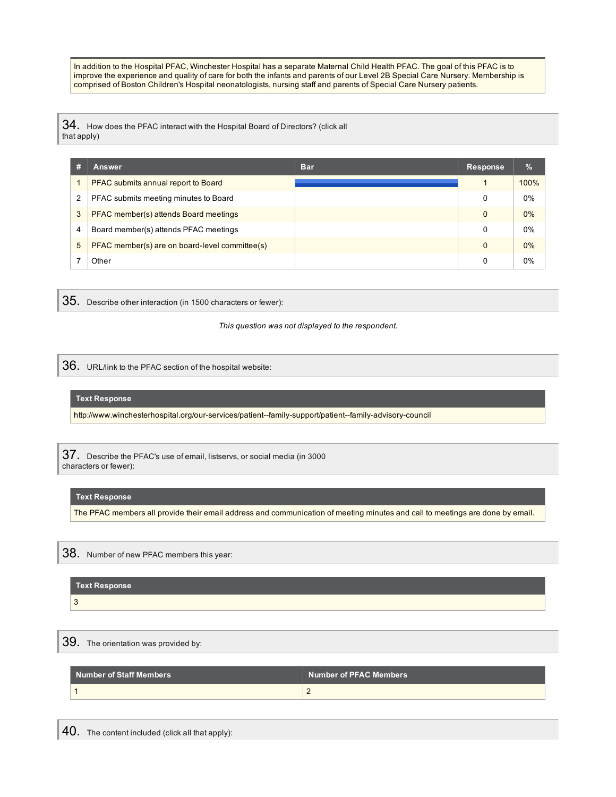In addition to the Hospital PFAC, Winchester Hospital has a separate Maternal Child Health PFAC. The goal of this PFAC is to improve the experience and quality of care for both the infants and parents of our Level 2B Special Care Nursery. Membership is comprised of Boston Children's Hospital neonatologists, nursing staff and parents of Special Care Nursery patients.

 $34.$  How does the PFAC interact with the Hospital Board of Directors? (click all that apply)

|   | <b>Answer</b>                                  | <b>Bar</b> | Response | $\%$  |
|---|------------------------------------------------|------------|----------|-------|
|   | PFAC submits annual report to Board            |            |          | 100%  |
| 2 | PFAC submits meeting minutes to Board          |            | 0        | 0%    |
| 3 | PFAC member(s) attends Board meetings          |            | $\Omega$ | $0\%$ |
| 4 | Board member(s) attends PFAC meetings          |            | 0        | $0\%$ |
| 5 | PFAC member(s) are on board-level committee(s) |            | $\Omega$ | $0\%$ |
|   | Other                                          |            | 0        | $0\%$ |

35. Describe other interaction (in <sup>1500</sup> characters or fewer):

*This question was not displayed to the respondent.*

**36.** URL/link to the PFAC section of the hospital website:

### **Text Response**

http://www.winchesterhospital.org/our-services/patient--family-support/patient--family-advisory-council

37. Describe the PFAC's use of email, listservs, or social media (in 3000 characters or fewer):

### **Text Response**

The PFAC members all provide their email address and communication of meeting minutes and call to meetings are done by email.

38. Number of new PFAC members this year:

|   | <b>Text Response</b> |
|---|----------------------|
| 3 |                      |

39. The orientation was provided by:

| Number of Staff Members \ | Number of PFAC Members |
|---------------------------|------------------------|
|                           |                        |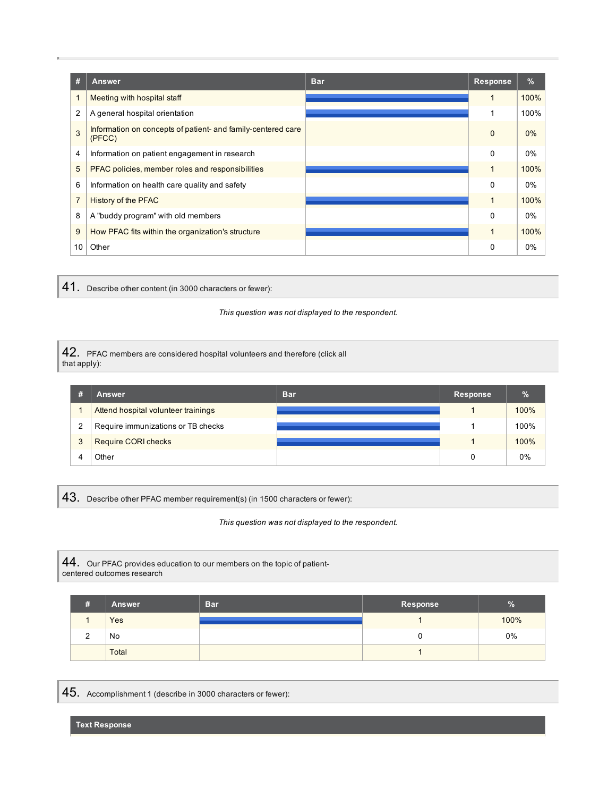| #              | <b>Answer</b>                                                          | <b>Bar</b> | <b>Response</b> | $\%$ |
|----------------|------------------------------------------------------------------------|------------|-----------------|------|
| 1              | Meeting with hospital staff                                            |            |                 | 100% |
| $\overline{2}$ | A general hospital orientation                                         |            |                 | 100% |
| 3              | Information on concepts of patient- and family-centered care<br>(PFCC) |            | $\mathbf 0$     | 0%   |
| 4              | Information on patient engagement in research                          |            | $\Omega$        | 0%   |
| 5              | PFAC policies, member roles and responsibilities                       |            |                 | 100% |
| 6              | Information on health care quality and safety                          |            | $\Omega$        | 0%   |
| $\overline{7}$ | <b>History of the PFAC</b>                                             |            | $\mathbf{1}$    | 100% |
| 8              | A "buddy program" with old members                                     |            | $\Omega$        | 0%   |
| 9              | How PFAC fits within the organization's structure                      |            | 1               | 100% |
| 10             | Other                                                                  |            | 0               | 0%   |

41. Describe other content (in <sup>3000</sup> characters or fewer):

*This question was not displayed to the respondent.*

42. PFAC members are considered hospital volunteers and therefore (click all that apply):

|   | <b>Answer</b>                       | <b>Bar</b> | Response | $\%$ |
|---|-------------------------------------|------------|----------|------|
|   | Attend hospital volunteer trainings |            |          | 100% |
| 2 | Require immunizations or TB checks  |            |          | 100% |
| 3 | <b>Require CORI checks</b>          |            |          | 100% |
|   | <b>Other</b>                        |            |          | 0%   |

43. Describe other PFAC member requirement(s) (in <sup>1500</sup> characters or fewer):

*This question was not displayed to the respondent.*

44. Our PFAC provides education to our members on the topic of patientcentered outcomes research

|             | <b>Answer</b> | <b>Bar</b> | Response | У.   |
|-------------|---------------|------------|----------|------|
|             | <b>Yes</b>    |            |          | 100% |
| $\sim$<br>∼ | No            |            | u        | 0%   |
|             | Total         |            |          |      |

45. Accomplishment <sup>1</sup> (describe in <sup>3000</sup> characters or fewer):

**Text Response**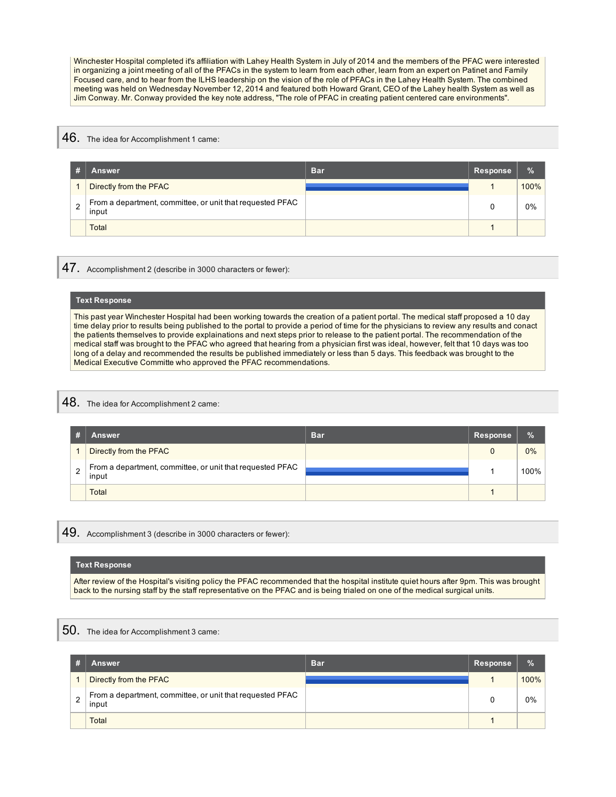Winchester Hospital completed it's affiliation with Lahey Health System in July of 2014 and the members of the PFAC were interested in organizing a joint meeting of all of the PFACs in the system to learn from each other, learn from an expert on Patinet and Family Focused care, and to hear from the lLHS leadership on the vision of the role of PFACs in the Lahey Health System. The combined meeting was held on Wednesday November 12, 2014 and featured both Howard Grant, CEO of the Lahey health System as well as Jim Conway. Mr. Conway provided the key note address, "The role of PFAC in creating patient centered care environments".

### 46. The idea for Accomplishment 1 came:

|   | <b>Answer</b>                                                      | <b>Bar</b> | <b>Response</b> | $\%$  |
|---|--------------------------------------------------------------------|------------|-----------------|-------|
|   | Directly from the PFAC                                             |            |                 | 100%  |
| າ | From a department, committee, or unit that requested PFAC<br>input |            |                 | $0\%$ |
|   | Total                                                              |            |                 |       |

 $47.$  Accomplishment 2 (describe in 3000 characters or fewer):

#### **Text Response**

This past year Winchester Hospital had been working towards the creation of a patient portal. The medical staff proposed a 10 day time delay prior to results being published to the portal to provide a period of time for the physicians to review any results and conact the patients themselves to provide explainations and next steps prior to release to the patient portal. The recommendation of the medical staff was brought to the PFAC who agreed that hearing from a physician first was ideal, however, felt that 10 days was too long of a delay and recommended the results be published immediately or less than 5 days. This feedback was brought to the Medical Executive Committe who approved the PFAC recommendations.

## 48. The idea for Accomplishment 2 came:

|   | Answer                                                             | <b>Bar</b> | Response | $\%$  |
|---|--------------------------------------------------------------------|------------|----------|-------|
|   | Directly from the PFAC                                             |            | 0        | $0\%$ |
| 2 | From a department, committee, or unit that requested PFAC<br>input |            |          | 100%  |
|   | <b>Total</b>                                                       |            |          |       |

49. Accomplishment 3 (describe in 3000 characters or fewer):

#### **Text Response**

After review of the Hospital's visiting policy the PFAC recommended that the hospital institute quiet hours after 9pm. This was brought back to the nursing staff by the staff representative on the PFAC and is being trialed on one of the medical surgical units.

## ${\bf 50}.$  The idea for Accomplishment 3 came:

|                | Answer                                                             | <b>Bar</b> | Response | $\%$ |
|----------------|--------------------------------------------------------------------|------------|----------|------|
|                | Directly from the PFAC                                             |            |          | 100% |
| $\overline{2}$ | From a department, committee, or unit that requested PFAC<br>input |            |          | 0%   |
|                | Total                                                              |            |          |      |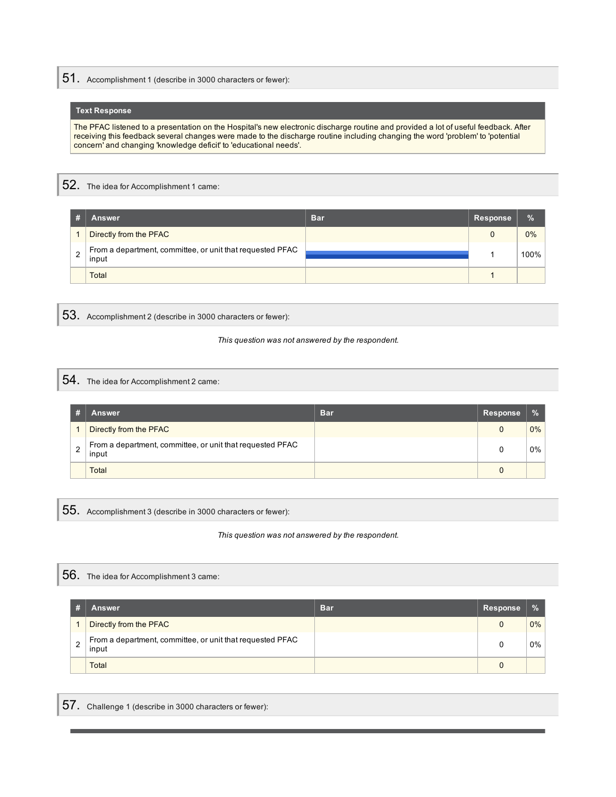51. Accomplishment <sup>1</sup> (describe in <sup>3000</sup> characters or fewer):

### **Text Response**

The PFAC listened to a presentation on the Hospital's new electronic discharge routine and provided a lot of useful feedback. After receiving this feedback several changes were made to the discharge routine including changing the word 'problem' to 'potential concern' and changing 'knowledge deficit' to 'educational needs'.

52. The idea for Accomplishment <sup>1</sup> came:

| <b>Answer</b>                                                      | <b>Bar</b> | Response | $\%$ |
|--------------------------------------------------------------------|------------|----------|------|
| Directly from the PFAC                                             |            |          | 0%   |
| From a department, committee, or unit that requested PFAC<br>input |            |          | 100% |
| <b>Total</b>                                                       |            |          |      |

53. Accomplishment <sup>2</sup> (describe in <sup>3000</sup> characters or fewer):

*This question was not answered by the respondent.*

54. The idea for Accomplishment 2 came:

|   | Answer                                                             | <b>Bar</b> | Response | $\frac{1}{2}$ |
|---|--------------------------------------------------------------------|------------|----------|---------------|
|   | Directly from the PFAC                                             |            | 0        | 0%            |
| ◠ | From a department, committee, or unit that requested PFAC<br>input |            |          | 0%            |
|   | Total                                                              |            |          |               |

55. Accomplishment <sup>3</sup> (describe in <sup>3000</sup> characters or fewer):

*This question was not answered by the respondent.*

56. The idea for Accomplishment <sup>3</sup> came:

|                | <b>Answer</b>                                                      | <b>Bar</b> | Response | $\frac{0}{2}$ |
|----------------|--------------------------------------------------------------------|------------|----------|---------------|
|                | Directly from the PFAC                                             |            |          | $0\%$         |
| $\overline{2}$ | From a department, committee, or unit that requested PFAC<br>input |            |          | $0\%$         |
|                | <b>Total</b>                                                       |            |          |               |

57. Challenge <sup>1</sup> (describe in <sup>3000</sup> characters or fewer):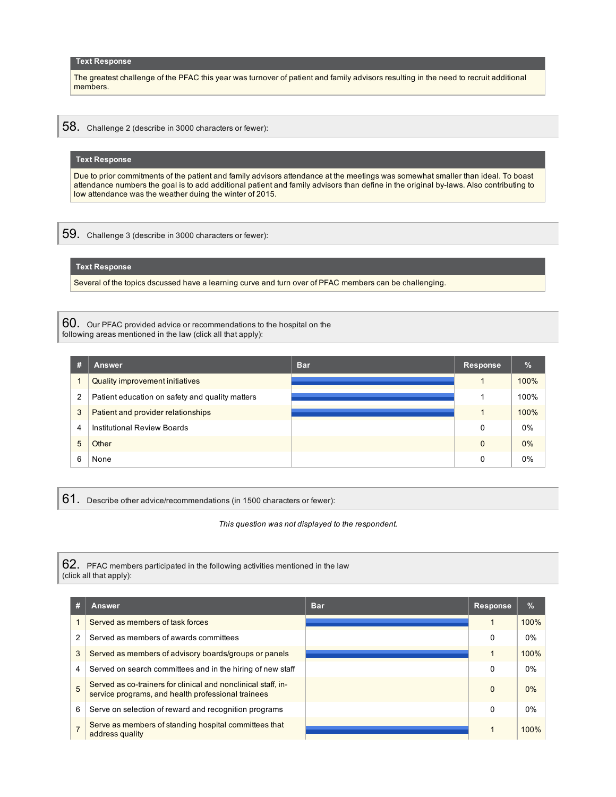#### **Text Response**

The greatest challenge of the PFAC this year was turnover of patient and family advisors resulting in the need to recruit additional members.

58. Challenge 2 (describe in 3000 characters or fewer):

#### **Text Response**

Due to prior commitments of the patient and family advisors attendance at the meetings was somewhat smaller than ideal. To boast attendance numbers the goal is to add additional patient and family advisors than define in the original by-laws. Also contributing to low attendance was the weather duing the winter of 2015.

59. Challenge 3 (describe in 3000 characters or fewer):

### **Text Response**

Several of the topics dscussed have a learning curve and turn over of PFAC members can be challenging.

60. Our PFAC provided advice or recommendations to the hospital on the following areas mentioned in the law (click all that apply):

| #              | <b>Answer</b>                                   | <b>Bar</b> | <b>Response</b> | %     |
|----------------|-------------------------------------------------|------------|-----------------|-------|
|                | Quality improvement initiatives                 |            |                 | 100%  |
| $\overline{2}$ | Patient education on safety and quality matters |            |                 | 100%  |
| 3              | Patient and provider relationships              |            |                 | 100%  |
| 4              | <b>Institutional Review Boards</b>              |            | 0               | $0\%$ |
| 5              | Other                                           |            | $\mathbf{0}$    | $0\%$ |
| 6              | None                                            |            | 0               | $0\%$ |

61. Describe other advice/recommendations (in 1500 characters or fewer):

*This question was not displayed to the respondent.*

62. PFAC members participated in the following activities mentioned in the law (click all that apply):

| # | Answer                                                                                                              | <b>Bar</b> | <b>Response</b> | $\%$ |
|---|---------------------------------------------------------------------------------------------------------------------|------------|-----------------|------|
|   | Served as members of task forces                                                                                    |            |                 | 100% |
| 2 | Served as members of awards committees                                                                              |            | 0               | 0%   |
| 3 | Served as members of advisory boards/groups or panels                                                               |            |                 | 100% |
| 4 | Served on search committees and in the hiring of new staff                                                          |            | 0               | 0%   |
| 5 | Served as co-trainers for clinical and nonclinical staff, in-<br>service programs, and health professional trainees |            | $\Omega$        | 0%   |
| 6 | Serve on selection of reward and recognition programs                                                               |            | 0               | 0%   |
|   | Serve as members of standing hospital committees that<br>address quality                                            |            |                 | 100% |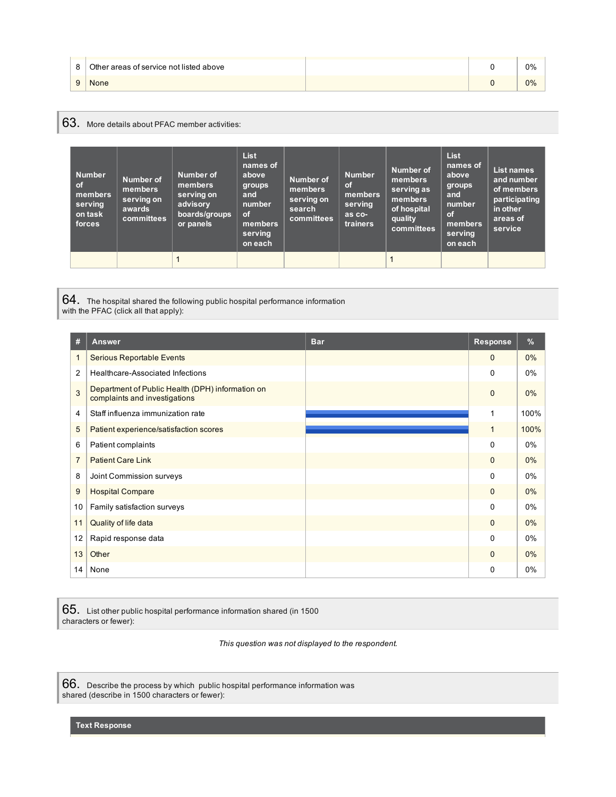|   | Other areas of service not listed above |  | 0% |
|---|-----------------------------------------|--|----|
| u | <b>None</b>                             |  | 0% |

# 63. More details about PFAC member activities:

| <b>Number</b><br><b>of</b><br>members<br>serving<br>on task<br>forces | <b>Number of</b><br>members<br>serving on<br>awards<br>committees | Number of<br>members<br>serving on<br>advisory<br>boards/groups<br>or panels | <b>List</b><br>names of<br>above<br>groups<br>and<br>number<br><b>of</b><br>members<br>serving<br>on each | Number of<br>members<br>serving on<br>search<br>committees | <b>Number</b><br><b>of</b><br>members<br>serving<br>as co-<br>trainers | Number of<br>members<br>serving as<br>members<br>of hospital<br>quality<br>committees | <b>List</b><br>names of<br>above<br>groups<br>and<br>number<br><b>of</b><br>members<br>serving<br>on each | <b>List names</b><br>and number<br>of members<br>participating<br>in other<br>areas of<br>service |
|-----------------------------------------------------------------------|-------------------------------------------------------------------|------------------------------------------------------------------------------|-----------------------------------------------------------------------------------------------------------|------------------------------------------------------------|------------------------------------------------------------------------|---------------------------------------------------------------------------------------|-----------------------------------------------------------------------------------------------------------|---------------------------------------------------------------------------------------------------|
|                                                                       |                                                                   |                                                                              |                                                                                                           |                                                            |                                                                        |                                                                                       |                                                                                                           |                                                                                                   |

64. The hospital shared the following public hospital performance information

with the PFAC (click all that apply):

| #              | <b>Answer</b>                                                                     | <b>Bar</b> | Response     | $\frac{9}{6}$ |
|----------------|-----------------------------------------------------------------------------------|------------|--------------|---------------|
| 1              | <b>Serious Reportable Events</b>                                                  |            | $\Omega$     | 0%            |
| 2              | Healthcare-Associated Infections                                                  |            | $\Omega$     | 0%            |
| 3              | Department of Public Health (DPH) information on<br>complaints and investigations |            | $\Omega$     | $0\%$         |
| 4              | Staff influenza immunization rate                                                 |            | 1            | 100%          |
| 5              | Patient experience/satisfaction scores                                            |            | $\mathbf 1$  | 100%          |
| 6              | Patient complaints                                                                |            | $\Omega$     | $0\%$         |
| $\overline{7}$ | <b>Patient Care Link</b>                                                          |            | $\Omega$     | 0%            |
| 8              | Joint Commission surveys                                                          |            | $\Omega$     | 0%            |
| 9              | <b>Hospital Compare</b>                                                           |            | $\Omega$     | $0\%$         |
| 10             | Family satisfaction surveys                                                       |            | $\Omega$     | 0%            |
| 11             | Quality of life data                                                              |            | $\mathbf{0}$ | 0%            |
| 12             | Rapid response data                                                               |            | $\Omega$     | 0%            |
| 13             | Other                                                                             |            | $\Omega$     | 0%            |
| 14             | None                                                                              |            | 0            | 0%            |

65. List other public hospital performance information shared (in <sup>1500</sup> characters or fewer):

*This question was not displayed to the respondent.*

66. Describe the process by which public hospital performance information was shared (describe in 1500 characters or fewer):

**Text Response**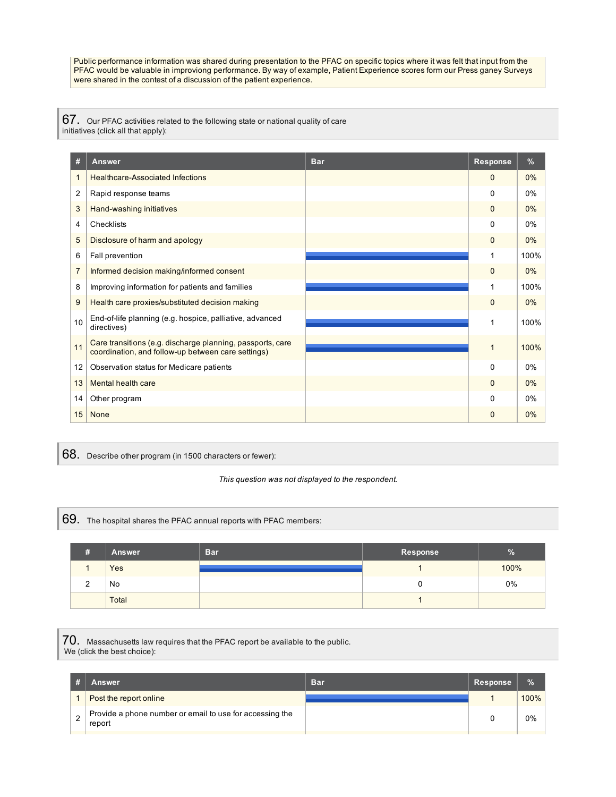Public performance information was shared during presentation to the PFAC on specific topics where it was felt that input from the PFAC would be valuable in improviong performance. By way of example, Patient Experience scores form our Press ganey Surveys were shared in the contest of a discussion of the patient experience.

67. Our PFAC activities related to the following state or national quality of care initiatives (click all that apply):

| #              | <b>Answer</b>                                                                                                    | <b>Bar</b> | <b>Response</b> | %     |
|----------------|------------------------------------------------------------------------------------------------------------------|------------|-----------------|-------|
| $\mathbf{1}$   | <b>Healthcare-Associated Infections</b>                                                                          |            | $\Omega$        | 0%    |
| 2              | Rapid response teams                                                                                             |            | $\Omega$        | 0%    |
| 3              | Hand-washing initiatives                                                                                         |            | $\mathbf{0}$    | 0%    |
| 4              | Checklists                                                                                                       |            | $\Omega$        | 0%    |
| 5              | Disclosure of harm and apology                                                                                   |            | $\mathbf{0}$    | $0\%$ |
| 6              | Fall prevention                                                                                                  |            |                 | 100%  |
| $\overline{7}$ | Informed decision making/informed consent                                                                        |            | $\mathbf{0}$    | 0%    |
| 8              | Improving information for patients and families                                                                  |            |                 | 100%  |
| 9              | Health care proxies/substituted decision making                                                                  |            | $\Omega$        | 0%    |
| 10             | End-of-life planning (e.g. hospice, palliative, advanced<br>directives)                                          |            | 1               | 100%  |
| 11             | Care transitions (e.g. discharge planning, passports, care<br>coordination, and follow-up between care settings) |            |                 | 100%  |
| 12             | Observation status for Medicare patients                                                                         |            | $\Omega$        | 0%    |
| 13             | Mental health care                                                                                               |            | $\Omega$        | 0%    |
| 14             | Other program                                                                                                    |            | $\Omega$        | 0%    |
| 15             | <b>None</b>                                                                                                      |            | $\Omega$        | 0%    |

68. Describe other program (in <sup>1500</sup> characters or fewer):

#### *This question was not displayed to the respondent.*

69. The hospital shares the PFAC annual reports with PFAC members:

| #           | <b>Answer</b> | <b>Bar</b> | Response | 70    |
|-------------|---------------|------------|----------|-------|
|             | Yes           |            |          | 100%  |
| $\sim$<br>∼ | No            |            |          | $0\%$ |
|             | Total         |            |          |       |

70. Massachusetts law requires that the PFAC report be available to the public. We (click the best choice):

| Answer                                                             | <b>Bar</b> | Response | $\%$  |
|--------------------------------------------------------------------|------------|----------|-------|
| Post the report online                                             |            |          | 100%  |
| Provide a phone number or email to use for accessing the<br>report |            |          | $0\%$ |